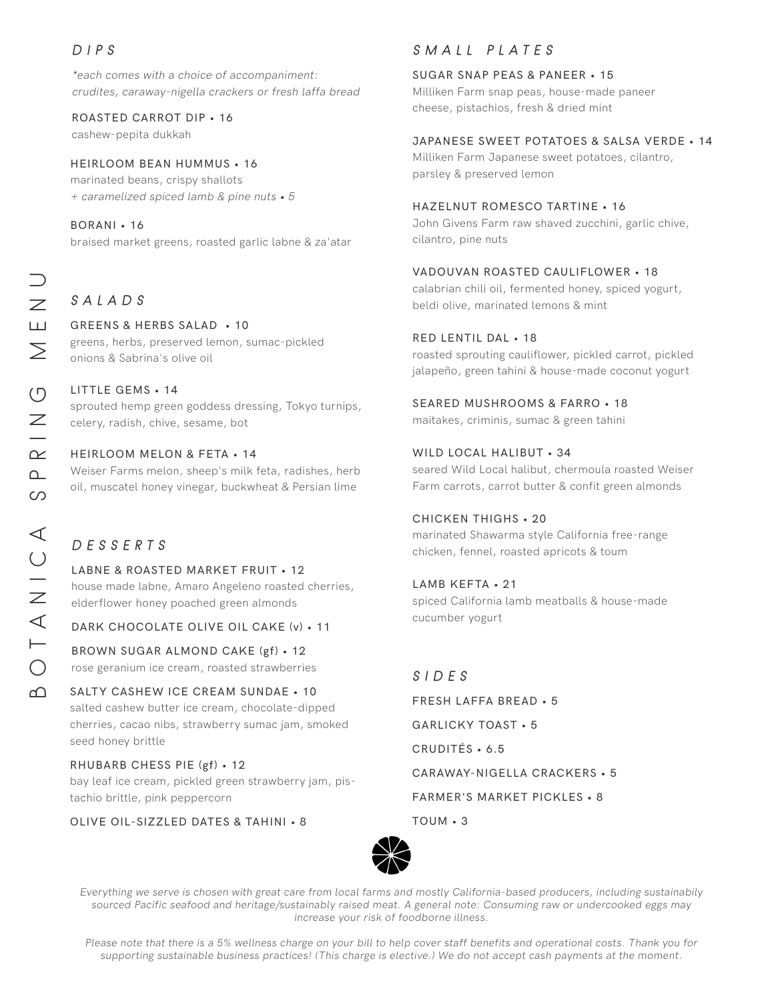### DIPS

\*each comes with a choice of accompaniment: crudites, caraway-nigella crackers or fresh laffa bread

ROASTED CARROT DIP • 16

cashew-pepita dukkah

### HEIRLOOM BEAN HUMMUS • 16

marinated beans, crispy shallots + caramelized spiced lamb & pine nuts • 5

### BORANI • 16

braised market greens, roasted garlic labne & za'atar

### SALADS

### GREENS & HERBS SALAD • 10

greens, herbs, preserved lemon, sumac-pickled onions & Sabrina's olive oil

### LITTLE GEMS • 14

sprouted hemp green goddess dressing, Tokyo turnips, celery, radish, chive, sesame, bot

### HEIRLOOM MELON & FETA • 14

Weiser Farms melon, sheep's milk feta, radishes, herb oil, muscatel honey vinegar, buckwheat & Persian lime

## DESSERTS

LABNE & ROASTED MARKET FRUIT • 12 house made labne, Amaro Angeleno roasted cherries, elderflower honey poached green almonds

DARK CHOCOLATE OLIVE OIL CAKE (v) • 11

BROWN SUGAR ALMOND CAKE (gf) • 12 rose geranium ice cream, roasted strawberries

### SALTY CASHEW ICE CREAM SUNDAE • 10 salted cashew butter ice cream, chocolate-dipped cherries, cacao nibs, strawberry sumac jam, smoked seed honey brittle

RHUBARB CHESS PIE (gf) • 12 bay leaf ice cream, pickled green strawberry jam, pistachio brittle, pink peppercorn

OLIVE OIL-SIZZLED DATES & TAHINI • 8

### SMALL PLATES

### SUGAR SNAP PEAS & PANEER • 15

Milliken Farm snap peas, house-made paneer cheese, pistachios, fresh & dried mint

### JAPANESE SWEET POTATOES & SALSA VERDE • 14

Milliken Farm Japanese sweet potatoes, cilantro, parsley & preserved lemon

### HAZELNUT ROMESCO TARTINE • 16

John Givens Farm raw shaved zucchini, garlic chive, cilantro, pine nuts

### VADOUVAN ROASTED CAULIFLOWER • 18

calabrian chili oil, fermented honey, spiced yogurt, beldi olive, marinated lemons & mint

### RED LENTIL DAL • 18

roasted sprouting cauliflower, pickled carrot, pickled jalapeño, green tahini & house-made coconut yogurt

### SEARED MUSHROOMS & FARRO • 18

maitakes, criminis, sumac & green tahini

### WILD LOCAL HALIBUT • 34

seared Wild Local halibut, chermoula roasted Weiser Farm carrots, carrot butter & confit green almonds

### CHICKEN THIGHS • 20

marinated Shawarma style California free-range chicken, fennel, roasted apricots & toum

### LAMB KEFTA • 21

spiced California lamb meatballs & house-made cucumber yogurt

# SIDES

FRESH LAFFA BREAD • 5 GARLICKY TOAST • 5 CRUDITÉS • 6.5 CARAWAY-NIGELLA CRACKERS • 5 FARMER'S MARKET PICKLES • 8 TOUM • 3



Everything we serve is chosen with great care from local farms and mostly California-based producers, including sustainabily sourced Pacific seafood and heritage/sustainably raised meat. A general note: Consuming raw or undercooked eggs may increase your risk of foodborne illness.

Please note that there is a 5% wellness charge on your bill to help cover staff benefits and operational costs. Thank you for supporting sustainable business practices! (This charge is elective.) We do not accept cash payments at the moment.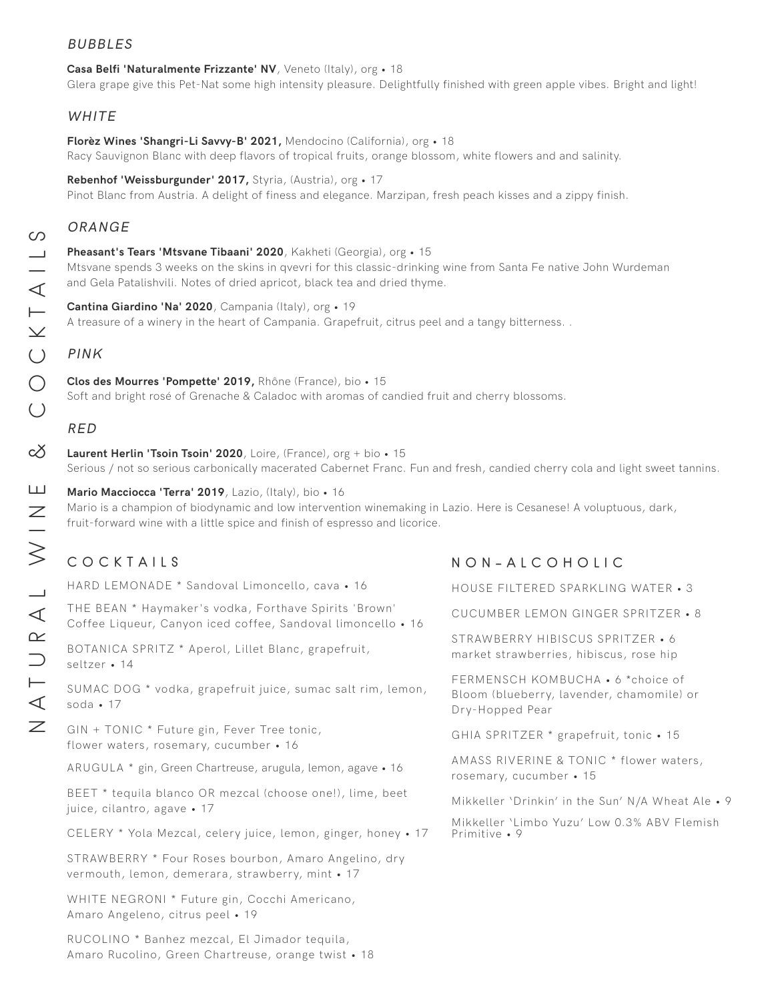### BUBBLES

#### **Casa Belfi 'Naturalmente Frizzante' NV**, Veneto (Italy), org • 18

Glera grape give this Pet-Nat some high intensity pleasure. Delightfully finished with green apple vibes. Bright and light!

### WHITE

**Florèz Wines 'Shangri-Li Savvy-B' 2021,** Mendocino (California), org • 18 Racy Sauvignon Blanc with deep flavors of tropical fruits, orange blossom, white flowers and and salinity.

**Rebenhof 'Weissburgunder' 2017,** Styria, (Austria), org • 17

Pinot Blanc from Austria. A delight of finess and elegance. Marzipan, fresh peach kisses and a zippy finish.

### ORANGE

**Pheasant's Tears 'Mtsvane Tibaani' 2020**, Kakheti (Georgia), org • 15 Mtsvane spends 3 weeks on the skins in qvevri for this classic-drinking wine from Santa Fe native John Wurdeman and Gela Patalishvili. Notes of dried apricot, black tea and dried thyme.

**Cantina Giardino 'Na' 2020**, Campania (Italy), org • 19 A treasure of a winery in the heart of Campania. Grapefruit, citrus peel and a tangy bitterness. .

### PINK

**Clos des Mourres 'Pompette' 2019,** Rhône (France), bio • 15 Soft and bright rosé of Grenache & Caladoc with aromas of candied fruit and cherry blossoms.

### RED

**Laurent Herlin 'Tsoin Tsoin' 2020**, Loire, (France), org + bio • 15 Serious / not so serious carbonically macerated Cabernet Franc. Fun and fresh, candied cherry cola and light sweet tannins.

**Mario Macciocca 'Terra' 2019**, Lazio, (Italy), bio • 16 Mario is a champion of biodynamic and low intervention winemaking in Lazio. Here is Cesanese! A voluptuous, dark, fruit-forward wine with a little spice and finish of espresso and licorice.

### COCKTAILS

HARD LEMONADE \* Sandoval Limoncello, cav THE BEAN \* Haymaker's vodka, Forthave Spi Coffee Liqueur, Canyon iced coffee, Sandova

BOTANICA SPRITZ \* Aperol, Lillet Blanc, grap seltzer • 14

SUMAC DOG \* vodka, grapefruit juice, sumac soda • 17

GIN + TONIC \* Future gin, Fever Tree tonic, flower waters, rosemary, cucumber • 16

ARUGULA \* gin, Green Chartreuse, arugula, lemo

BEET \* tequila blanco OR mezcal (choose one juice, cilantro, agave • 17

CELERY \* Yola Mezcal, celery juice, lemon, g

STRAWBERRY \* Four Roses bourbon, Amaro, vermouth, lemon, demerara, strawberry, mint

WHITE NEGRONI \* Future gin, Cocchi Americano, Amaro Angeleno, citrus peel • 19

RUCOLINO \* Banhez mezcal, El Jimador tequila, Amaro Rucolino, Green Chartreuse, orange twist • 18

### NON-ALCOHOLIC

| va • 16                           | HOUSE FILTERED SPARKLING WATER • 3                                                                |
|-----------------------------------|---------------------------------------------------------------------------------------------------|
| rits 'Brown'<br>l limoncello • 16 | CUCUMBER LEMON GINGER SPRITZER • 8                                                                |
| pefruit,                          | STRAWBERRY HIBISCUS SPRITZER • 6<br>market strawberries, hibiscus, rose hip                       |
| salt rim, lemon,                  | FERMENSCH KOMBUCHA • 6 *choice of<br>Bloom (blueberry, lavender, chamomile) or<br>Dry-Hopped Pear |
|                                   | GHIA SPRITZER * grapefruit, tonic . 15                                                            |
| on, agave • 16                    | AMASS RIVERINE & TONIC * flower waters,<br>rosemary, cucumber • 15                                |
| e!), lime, beet                   | Mikkeller 'Drinkin' in the Sun' N/A Wheat Ale • 9                                                 |
| inger, honey • 17                 | Mikkeller 'Limbo Yuzu' Low 0.3% ABV Flemish<br>Primitive • 9                                      |
| Angelino, dry<br>t • 17           |                                                                                                   |
|                                   |                                                                                                   |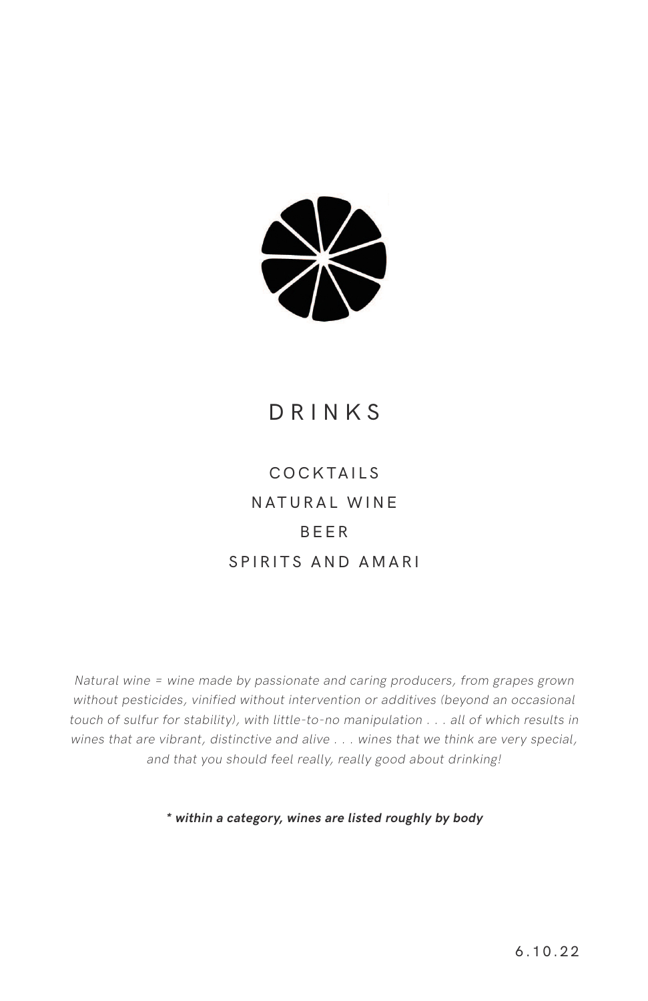

# DRINKS

# COCKTAILS NATURAL WINE BEER SPIRITS AND AMARI

Natural wine = wine made by passionate and caring producers, from grapes grown without pesticides, vinified without intervention or additives (beyond an occasional touch of sulfur for stability), with little-to-no manipulation . . . all of which results in wines that are vibrant, distinctive and alive . . . wines that we think are very special, and that you should feel really, really good about drinking!

**\* within a category, wines are listed roughly by body**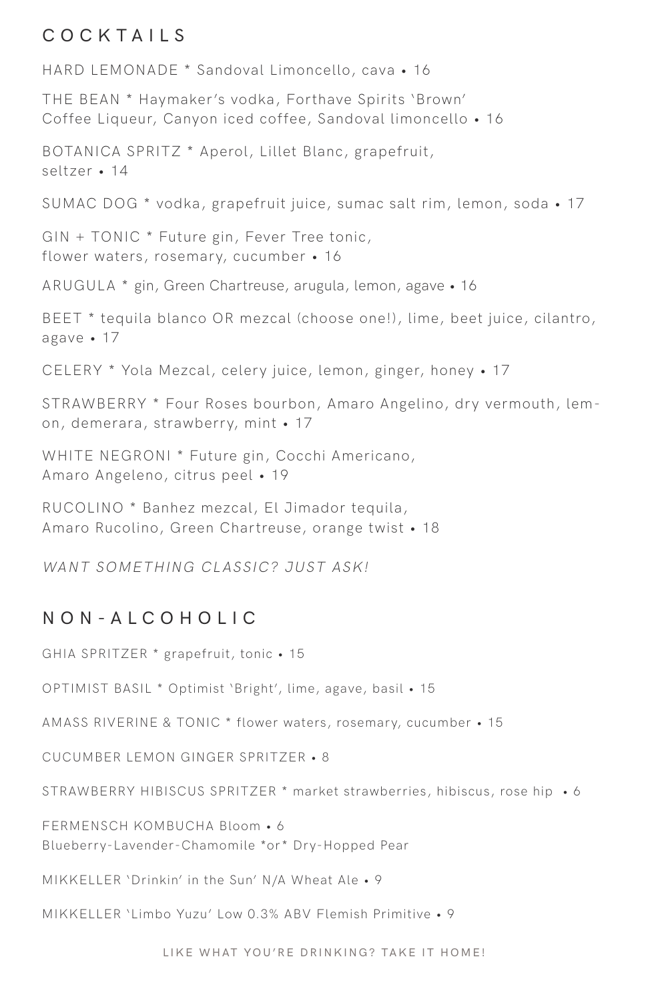### COCKTAILS

HARD LEMONADE \* Sandoval Limoncello, cava • 16

THE BEAN \* Haymaker's vodka, Forthave Spirits 'Brown' Coffee Liqueur, Canyon iced coffee, Sandoval limoncello • 16

BOTANICA SPRITZ \* Aperol, Lillet Blanc, grapefruit, seltzer • 14 SUMAC DOG \* vodka, grapefruit juice, sumac salt rim, lemon, soda • 17 GIN + TONIC \* Future gin, Fever Tree tonic, flower waters, rosemary, cucumber • 16 ARUGULA \* gin, Green Chartreuse, arugula, lemon, agave • 16 BEET \* tequila blanco OR mezcal (choose one!), lime, beet juice, cilantro, agave • 17 CELERY \* Yola Mezcal, celery juice, lemon, ginger, honey • 17 STRAWBERRY \* Four Roses bourbon, Amaro Angelino, dry vermouth, lemon, demerara, strawberry, mint • 17 WHITE NEGRONI \* Future gin, Cocchi Americano, Amaro Angeleno, citrus peel • 19 RUCOLINO \* Banhez mezcal, El Jimador tequila, Amaro Rucolino, Green Chartreuse, orange twist • 18

WANT SOMETHING CLASSIC? JUST ASK!

### NON-ALCOHOLIC

GHIA SPRITZER \* grapefruit, tonic • 15

OPTIMIST BASIL \* Optimist 'Bright', lime, agave, basil • 15

AMASS RIVERINE & TONIC \* flower waters, rosemary, cucumber • 15

CUCUMBER LEMON GINGER SPRITZER • 8

STRAWBERRY HIBISCUS SPRITZER \* market strawberries, hibiscus, rose hip • 6

FERMENSCH KOMBUCHA Bloom • 6 Blueberry-Lavender-Chamomile \*or\* Dry-Hopped Pear

MIKKELLER 'Drinkin' in the Sun' N/A Wheat Ale • 9

MIKKELLER 'Limbo Yuzu' Low 0.3% ABV Flemish Primitive • 9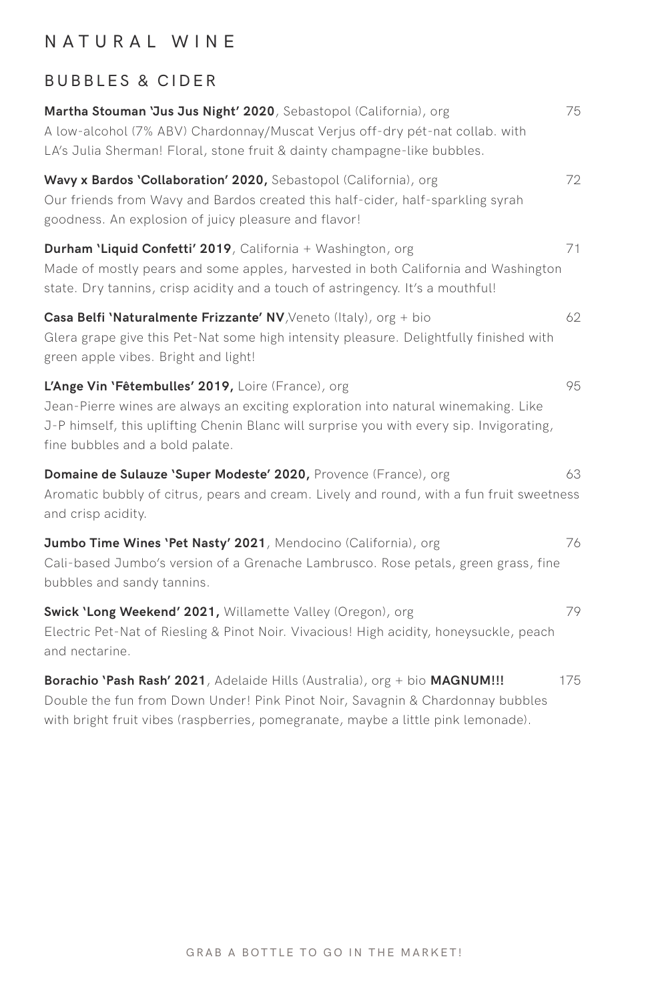### NATURAL WINE

### BUBBLES & CIDER

| Martha Stouman 'Jus Jus Night' 2020, Sebastopol (California), org<br>A low-alcohol (7% ABV) Chardonnay/Muscat Verjus off-dry pét-nat collab. with<br>LA's Julia Sherman! Floral, stone fruit & dainty champagne-like bubbles.                                           | 75  |
|-------------------------------------------------------------------------------------------------------------------------------------------------------------------------------------------------------------------------------------------------------------------------|-----|
| Wavy x Bardos 'Collaboration' 2020, Sebastopol (California), org<br>Our friends from Wavy and Bardos created this half-cider, half-sparkling syrah<br>goodness. An explosion of juicy pleasure and flavor!                                                              | 72  |
| Durham 'Liquid Confetti' 2019, California + Washington, org<br>Made of mostly pears and some apples, harvested in both California and Washington<br>state. Dry tannins, crisp acidity and a touch of astringency. It's a mouthful!                                      | 71  |
| Casa Belfi 'Naturalmente Frizzante' NV, Veneto (Italy), org + bio<br>Glera grape give this Pet-Nat some high intensity pleasure. Delightfully finished with<br>green apple vibes. Bright and light!                                                                     | 62  |
| L'Ange Vin 'Fêtembulles' 2019, Loire (France), org<br>Jean-Pierre wines are always an exciting exploration into natural winemaking. Like<br>J-P himself, this uplifting Chenin Blanc will surprise you with every sip. Invigorating,<br>fine bubbles and a bold palate. | 95  |
| Domaine de Sulauze 'Super Modeste' 2020, Provence (France), org<br>Aromatic bubbly of citrus, pears and cream. Lively and round, with a fun fruit sweetness<br>and crisp acidity.                                                                                       | 63  |
| Jumbo Time Wines 'Pet Nasty' 2021, Mendocino (California), org<br>Cali-based Jumbo's version of a Grenache Lambrusco. Rose petals, green grass, fine<br>bubbles and sandy tannins.                                                                                      | 76  |
| Swick 'Long Weekend' 2021, Willamette Valley (Oregon), org<br>Electric Pet-Nat of Riesling & Pinot Noir. Vivacious! High acidity, honeysuckle, peach<br>and nectarine.                                                                                                  | 79  |
| Borachio 'Pash Rash' 2021, Adelaide Hills (Australia), org + bio MAGNUM!!!<br>Double the fun from Down Under! Pink Pinot Noir, Savagnin & Chardonnay bubbles<br>with bright fruit vibes (raspberries, pomegranate, maybe a little pink lemonade).                       | 175 |
|                                                                                                                                                                                                                                                                         |     |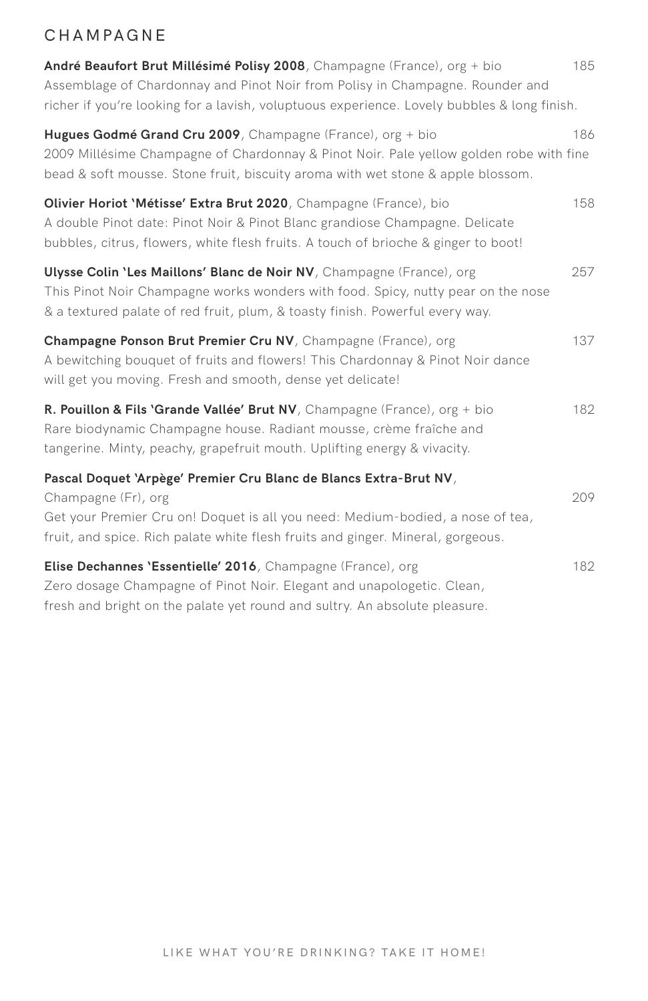### CHAMPAGNE

| André Beaufort Brut Millésimé Polisy 2008, Champagne (France), org + bio<br>Assemblage of Chardonnay and Pinot Noir from Polisy in Champagne. Rounder and<br>richer if you're looking for a lavish, voluptuous experience. Lovely bubbles & long finish.      | 185 |
|---------------------------------------------------------------------------------------------------------------------------------------------------------------------------------------------------------------------------------------------------------------|-----|
| Hugues Godmé Grand Cru 2009, Champagne (France), org + bio<br>2009 Millésime Champagne of Chardonnay & Pinot Noir. Pale yellow golden robe with fine<br>bead & soft mousse. Stone fruit, biscuity aroma with wet stone & apple blossom.                       | 186 |
| Olivier Horiot 'Métisse' Extra Brut 2020, Champagne (France), bio<br>A double Pinot date: Pinot Noir & Pinot Blanc grandiose Champagne. Delicate<br>bubbles, citrus, flowers, white flesh fruits. A touch of brioche & ginger to boot!                        | 158 |
| Ulysse Colin 'Les Maillons' Blanc de Noir NV, Champagne (France), org<br>This Pinot Noir Champagne works wonders with food. Spicy, nutty pear on the nose<br>& a textured palate of red fruit, plum, & toasty finish. Powerful every way.                     | 257 |
| Champagne Ponson Brut Premier Cru NV, Champagne (France), org<br>A bewitching bouquet of fruits and flowers! This Chardonnay & Pinot Noir dance<br>will get you moving. Fresh and smooth, dense yet delicate!                                                 | 137 |
| R. Pouillon & Fils 'Grande Vallée' Brut NV, Champagne (France), org + bio<br>Rare biodynamic Champagne house. Radiant mousse, crème fraîche and<br>tangerine. Minty, peachy, grapefruit mouth. Uplifting energy & vivacity.                                   | 182 |
| Pascal Doquet 'Arpège' Premier Cru Blanc de Blancs Extra-Brut NV,<br>Champagne (Fr), org<br>Get your Premier Cru on! Doquet is all you need: Medium-bodied, a nose of tea,<br>fruit, and spice. Rich palate white flesh fruits and ginger. Mineral, gorgeous. | 209 |
| Elise Dechannes 'Essentielle' 2016, Champagne (France), org<br>Zero dosage Champagne of Pinot Noir. Elegant and unapologetic. Clean,<br>fresh and bright on the palate yet round and sultry. An absolute pleasure.                                            | 182 |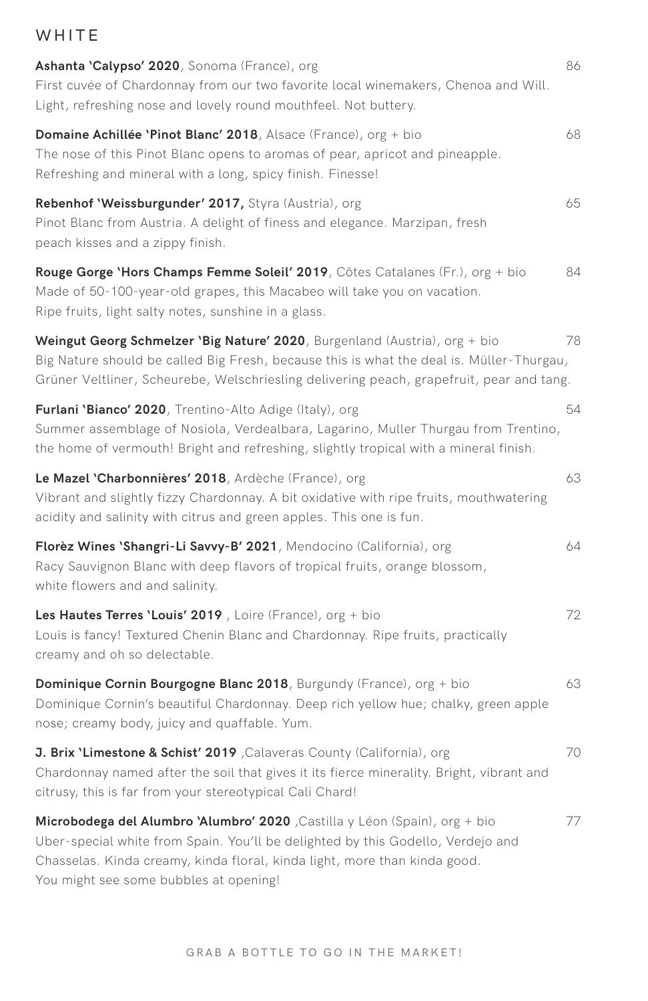### WHITE

| Ashanta 'Calypso' 2020, Sonoma (France), org<br>First cuvée of Chardonnay from our two favorite local winemakers, Chenoa and Will.<br>Light, refreshing nose and lovely round mouthfeel. Not buttery.                                                                                 | 86 |
|---------------------------------------------------------------------------------------------------------------------------------------------------------------------------------------------------------------------------------------------------------------------------------------|----|
| <b>Domaine Achillée 'Pinot Blanc' 2018</b> , Alsace (France), org + bio<br>The nose of this Pinot Blanc opens to aromas of pear, apricot and pineapple.<br>Refreshing and mineral with a long, spicy finish. Finesse!                                                                 | 68 |
| Rebenhof 'Weissburgunder' 2017, Styra (Austria), org<br>Pinot Blanc from Austria. A delight of finess and elegance. Marzipan, fresh<br>peach kisses and a zippy finish.                                                                                                               | 65 |
| <b>Rouge Gorge 'Hors Champs Femme Soleil' 2019</b> , Côtes Catalanes (Fr.), org + bio<br>Made of 50-100-year-old grapes, this Macabeo will take you on vacation.<br>Ripe fruits, light salty notes, sunshine in a glass.                                                              | 84 |
| Weingut Georg Schmelzer 'Big Nature' 2020, Burgenland (Austria), org + bio<br>Big Nature should be called Big Fresh, because this is what the deal is. Müller-Thurgau,<br>Grüner Veltliner, Scheurebe, Welschriesling delivering peach, grapefruit, pear and tang.                    | 78 |
| Furlani 'Bianco' 2020, Trentino-Alto Adige (Italy), org<br>Summer assemblage of Nosiola, Verdealbara, Lagarino, Muller Thurgau from Trentino,<br>the home of vermouth! Bright and refreshing, slightly tropical with a mineral finish.                                                | 54 |
| Le Mazel 'Charbonnières' 2018, Ardèche (France), org<br>Vibrant and slightly fizzy Chardonnay. A bit oxidative with ripe fruits, mouthwatering<br>acidity and salinity with citrus and green apples. This one is fun.                                                                 | 63 |
| Florèz Wines 'Shangri-Li Savvy-B' 2021, Mendocino (California), org<br>Racy Sauvignon Blanc with deep flavors of tropical fruits, orange blossom,<br>white flowers and and salinity.                                                                                                  | 64 |
| Les Hautes Terres 'Louis' 2019, Loire (France), $org + bio$<br>Louis is fancy! Textured Chenin Blanc and Chardonnay. Ripe fruits, practically<br>creamy and oh so delectable.                                                                                                         | 72 |
| <b>Dominique Cornin Bourgogne Blanc 2018</b> , Burgundy (France), org + bio<br>Dominique Cornin's beautiful Chardonnay. Deep rich yellow hue; chalky, green apple<br>nose; creamy body, juicy and quaffable. Yum.                                                                     | 63 |
| J. Brix 'Limestone & Schist' 2019 , Calaveras County (California), org<br>Chardonnay named after the soil that gives it its fierce minerality. Bright, vibrant and<br>citrusy, this is far from your stereotypical Cali Chard!                                                        | 70 |
| Microbodega del Alumbro 'Alumbro' 2020 , Castilla y Léon (Spain), org + bio<br>Uber-special white from Spain. You'll be delighted by this Godello, Verdejo and<br>Chasselas. Kinda creamy, kinda floral, kinda light, more than kinda good.<br>You might see some bubbles at opening! | 77 |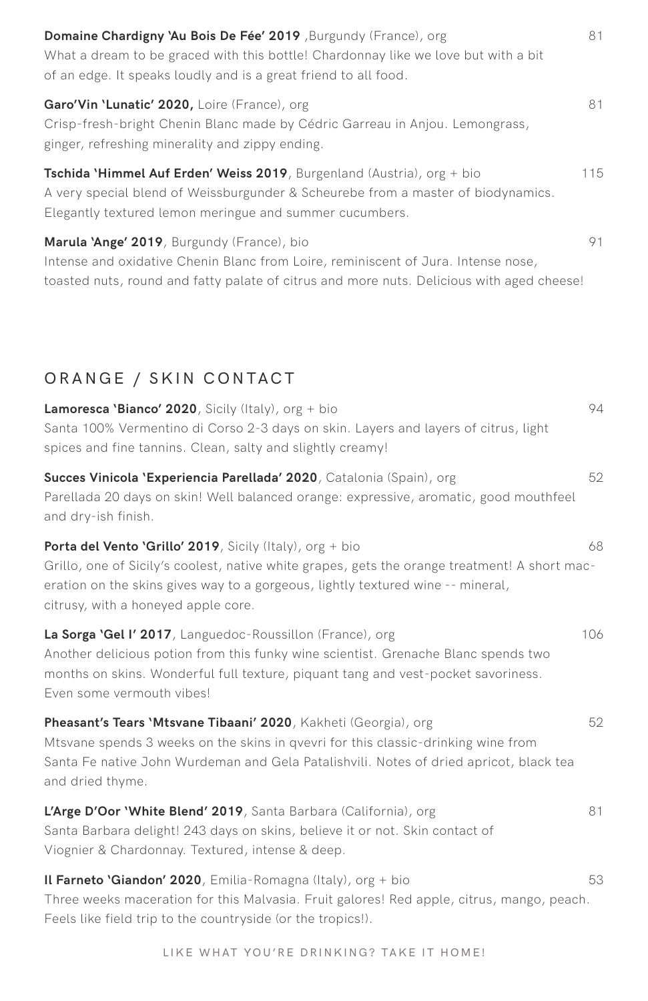| Domaine Chardigny 'Au Bois De Fée' 2019 , Burgundy (France), org<br>What a dream to be graced with this bottle! Chardonnay like we love but with a bit<br>of an edge. It speaks loudly and is a great friend to all food.    | 81  |
|------------------------------------------------------------------------------------------------------------------------------------------------------------------------------------------------------------------------------|-----|
| Garo'Vin 'Lunatic' 2020, Loire (France), org<br>Crisp-fresh-bright Chenin Blanc made by Cédric Garreau in Anjou. Lemongrass,<br>ginger, refreshing minerality and zippy ending.                                              | 81  |
| Tschida 'Himmel Auf Erden' Weiss 2019, Burgenland (Austria), org + bio<br>A very special blend of Weissburgunder & Scheurebe from a master of biodynamics.<br>Elegantly textured lemon meringue and summer cucumbers.        | 115 |
| Marula 'Ange' 2019, Burgundy (France), bio<br>Intense and oxidative Chenin Blanc from Loire, reminiscent of Jura. Intense nose,<br>toasted nuts, round and fatty palate of citrus and more nuts. Delicious with aged cheese! | 91  |

### ORANGE / SKIN CONTACT

| <b>Lamoresca 'Bianco' 2020</b> , Sicily (Italy), org + bio<br>Santa 100% Vermentino di Corso 2-3 days on skin. Layers and layers of citrus, light<br>spices and fine tannins. Clean, salty and slightly creamy!                                                                             | 94  |
|---------------------------------------------------------------------------------------------------------------------------------------------------------------------------------------------------------------------------------------------------------------------------------------------|-----|
| Succes Vinicola 'Experiencia Parellada' 2020, Catalonia (Spain), org<br>Parellada 20 days on skin! Well balanced orange: expressive, aromatic, good mouthfeel<br>and dry-ish finish.                                                                                                        | 52  |
| <b>Porta del Vento 'Grillo' 2019</b> , Sicily (Italy), org + bio<br>Grillo, one of Sicily's coolest, native white grapes, gets the orange treatment! A short mac-<br>eration on the skins gives way to a gorgeous, lightly textured wine -- mineral,<br>citrusy, with a honeyed apple core. | 68  |
| La Sorga 'Gel I' 2017, Languedoc-Roussillon (France), org<br>Another delicious potion from this funky wine scientist. Grenache Blanc spends two<br>months on skins. Wonderful full texture, piquant tang and vest-pocket savoriness.<br>Even some vermouth vibes!                           | 106 |
| Pheasant's Tears 'Mtsvane Tibaani' 2020, Kakheti (Georgia), org<br>Mtsvane spends 3 weeks on the skins in qvevri for this classic-drinking wine from<br>Santa Fe native John Wurdeman and Gela Patalishvili. Notes of dried apricot, black tea<br>and dried thyme.                          | 52  |
| L'Arge D'Oor 'White Blend' 2019, Santa Barbara (California), org<br>Santa Barbara delight! 243 days on skins, believe it or not. Skin contact of<br>Viognier & Chardonnay. Textured, intense & deep.                                                                                        | 81  |
| <b>Il Farneto 'Giandon' 2020</b> , Emilia-Romagna (Italy), org $+$ bio<br>Three weeks maceration for this Malvasia. Fruit galores! Red apple, citrus, mango, peach.<br>Feels like field trip to the countryside (or the tropics!).                                                          | 53  |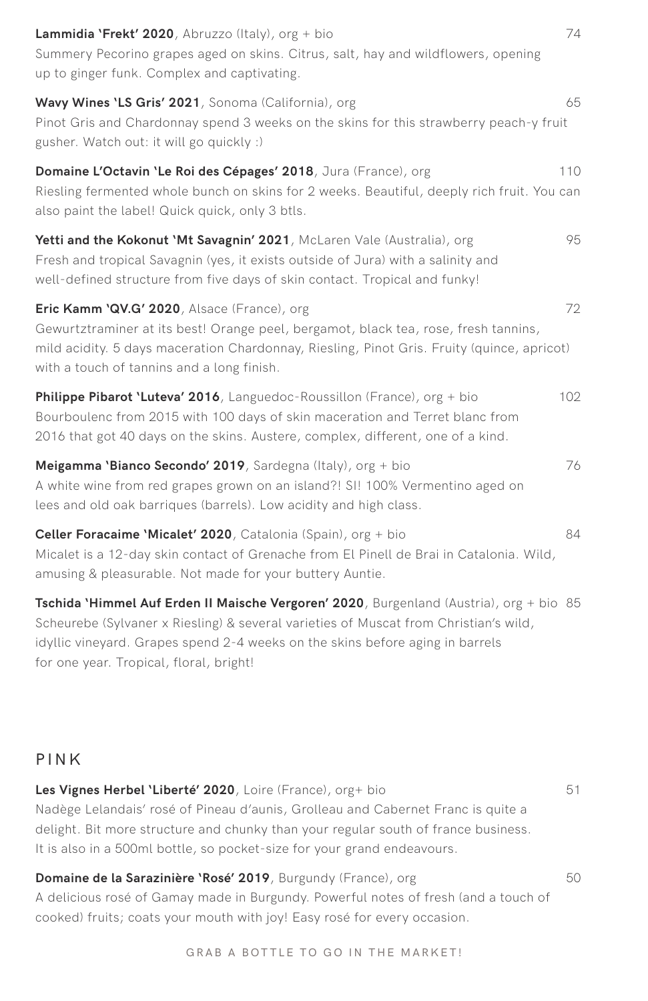| <b>Lammidia 'Frekt' 2020</b> , Abruzzo (Italy), $\text{org} + \text{bio}$<br>Summery Pecorino grapes aged on skins. Citrus, salt, hay and wildflowers, opening<br>up to ginger funk. Complex and captivating.                                                                                               | 74  |
|-------------------------------------------------------------------------------------------------------------------------------------------------------------------------------------------------------------------------------------------------------------------------------------------------------------|-----|
| Wavy Wines 'LS Gris' 2021, Sonoma (California), org<br>Pinot Gris and Chardonnay spend 3 weeks on the skins for this strawberry peach-y fruit<br>gusher. Watch out: it will go quickly :)                                                                                                                   | 65  |
| Domaine L'Octavin 'Le Roi des Cépages' 2018, Jura (France), org<br>Riesling fermented whole bunch on skins for 2 weeks. Beautiful, deeply rich fruit. You can<br>also paint the label! Quick quick, only 3 btls.                                                                                            | 110 |
| Yetti and the Kokonut 'Mt Savagnin' 2021, McLaren Vale (Australia), org<br>Fresh and tropical Savagnin (yes, it exists outside of Jura) with a salinity and<br>well-defined structure from five days of skin contact. Tropical and funky!                                                                   | 95  |
| <b>Eric Kamm 'QV.G' 2020</b> , Alsace (France), org<br>Gewurtztraminer at its best! Orange peel, bergamot, black tea, rose, fresh tannins,<br>mild acidity. 5 days maceration Chardonnay, Riesling, Pinot Gris. Fruity (quince, apricot)<br>with a touch of tannins and a long finish.                      | 72  |
| Philippe Pibarot 'Luteva' 2016, Languedoc-Roussillon (France), org + bio<br>Bourboulenc from 2015 with 100 days of skin maceration and Terret blanc from<br>2016 that got 40 days on the skins. Austere, complex, different, one of a kind.                                                                 | 102 |
| Meigamma 'Bianco Secondo' 2019, Sardegna (Italy), org + bio<br>A white wine from red grapes grown on an island?! SI! 100% Vermentino aged on<br>lees and old oak barriques (barrels). Low acidity and high class.                                                                                           | 76  |
| Celler Foracaime 'Micalet' 2020, Catalonia (Spain), org + bio<br>Micalet is a 12-day skin contact of Grenache from El Pinell de Brai in Catalonia. Wild,<br>amusing & pleasurable. Not made for your buttery Auntie.                                                                                        | 84  |
| Tschida 'Himmel Auf Erden II Maische Vergoren' 2020, Burgenland (Austria), org + bio 85<br>Scheurebe (Sylvaner x Riesling) & several varieties of Muscat from Christian's wild,<br>idyllic vineyard. Grapes spend 2-4 weeks on the skins before aging in barrels<br>for one year. Tropical, floral, bright! |     |
| PINK                                                                                                                                                                                                                                                                                                        |     |

**Les Vignes Herbel 'Liberté' 2020**, Loire (France), org+ bio 51 Nadège Lelandais' rosé of Pineau d'aunis, Grolleau and Cabernet Franc is quite a delight. Bit more structure and chunky than your regular south of france business. It is also in a 500ml bottle, so pocket-size for your grand endeavours.

**Domaine de la Sarazinière 'Rosé' 2019**, Burgundy (France), org **1988 1999** A delicious rosé of Gamay made in Burgundy. Powerful notes of fresh (and a touch of cooked) fruits; coats your mouth with joy! Easy rosé for every occasion.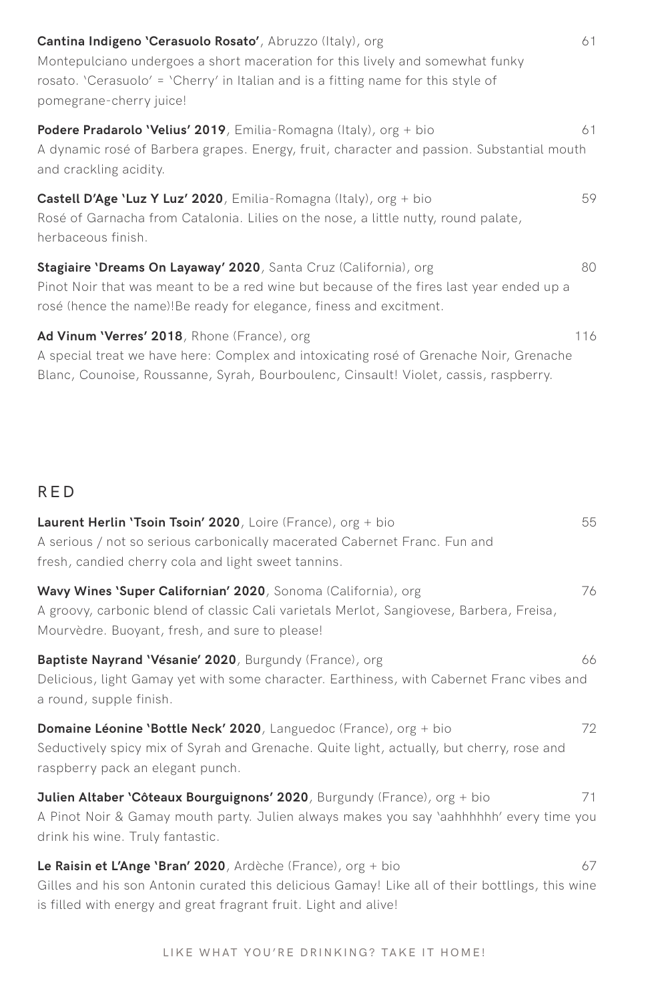| Cantina Indigeno 'Cerasuolo Rosato', Abruzzo (Italy), org<br>Montepulciano undergoes a short maceration for this lively and somewhat funky<br>rosato. 'Cerasuolo' = 'Cherry' in Italian and is a fitting name for this style of<br>pomegrane-cherry juice! | 61  |
|------------------------------------------------------------------------------------------------------------------------------------------------------------------------------------------------------------------------------------------------------------|-----|
| <b>Podere Pradarolo 'Velius' 2019</b> , Emilia-Romagna (Italy), org + bio<br>A dynamic rosé of Barbera grapes. Energy, fruit, character and passion. Substantial mouth<br>and crackling acidity.                                                           | 61  |
| <b>Castell D'Age 'Luz Y Luz' 2020</b> , Emilia-Romagna (Italy), org + bio<br>Rosé of Garnacha from Catalonia. Lilies on the nose, a little nutty, round palate,<br>herbaceous finish.                                                                      | 59  |
| Stagiaire 'Dreams On Layaway' 2020, Santa Cruz (California), org<br>Pinot Noir that was meant to be a red wine but because of the fires last year ended up a<br>rosé (hence the name)!Be ready for elegance, finess and excitment.                         | 80  |
| Ad Vinum 'Verres' 2018, Rhone (France), org<br>A special treat we have here: Complex and intoxicating rosé of Grenache Noir, Grenache<br>Blanc, Counoise, Roussanne, Syrah, Bourboulenc, Cinsault! Violet, cassis, raspberry.                              | 116 |

### RED

| Laurent Herlin 'Tsoin Tsoin' 2020, Loire (France), org + bio<br>A serious / not so serious carbonically macerated Cabernet Franc. Fun and<br>fresh, candied cherry cola and light sweet tannins.                                    | 55 |
|-------------------------------------------------------------------------------------------------------------------------------------------------------------------------------------------------------------------------------------|----|
| Wavy Wines 'Super Californian' 2020, Sonoma (California), org<br>A groovy, carbonic blend of classic Cali varietals Merlot, Sangiovese, Barbera, Freisa,<br>Mourvèdre. Buoyant, fresh, and sure to please!                          | 76 |
| Baptiste Nayrand 'Vésanie' 2020, Burgundy (France), org<br>Delicious, light Gamay yet with some character. Earthiness, with Cabernet Franc vibes and<br>a round, supple finish.                                                     | 66 |
| Domaine Léonine 'Bottle Neck' 2020, Languedoc (France), org + bio<br>Seductively spicy mix of Syrah and Grenache. Quite light, actually, but cherry, rose and<br>raspberry pack an elegant punch.                                   | 72 |
| Julien Altaber 'Côteaux Bourguignons' 2020, Burgundy (France), org + bio<br>A Pinot Noir & Gamay mouth party. Julien always makes you say 'aahhhhhh' every time you<br>drink his wine. Truly fantastic.                             | 71 |
| Le Raisin et L'Ange 'Bran' 2020, Ardèche (France), org + bio<br>Gilles and his son Antonin curated this delicious Gamay! Like all of their bottlings, this wine<br>is filled with energy and great fragrant fruit. Light and alive! | 67 |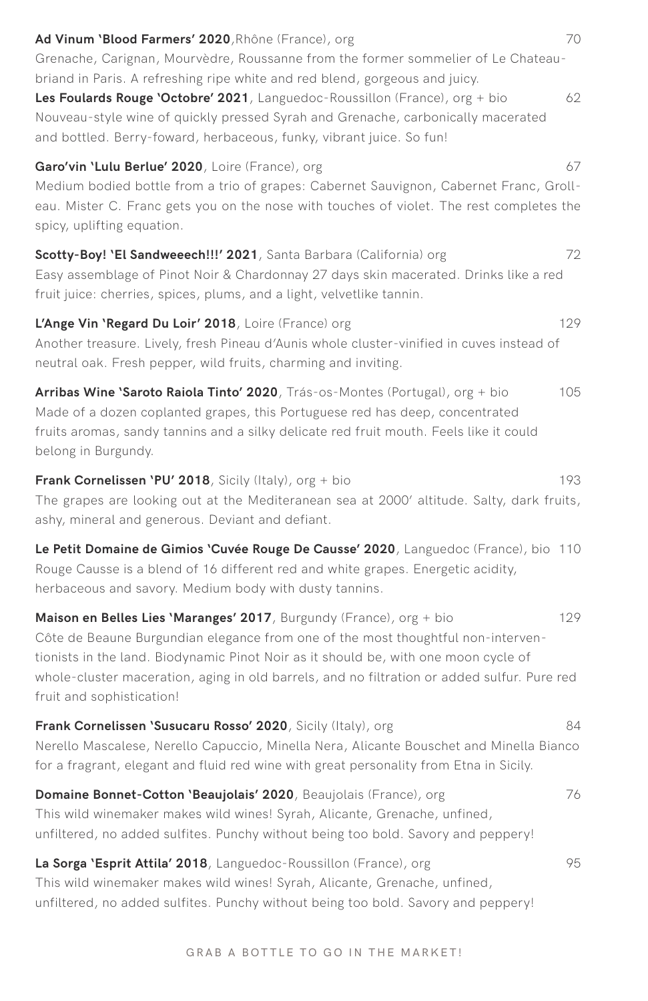| Ad Vinum 'Blood Farmers' 2020, Rhône (France), org<br>70<br>Grenache, Carignan, Mourvèdre, Roussanne from the former sommelier of Le Chateau-                                                                                                                                                                                                                                     |    |
|-----------------------------------------------------------------------------------------------------------------------------------------------------------------------------------------------------------------------------------------------------------------------------------------------------------------------------------------------------------------------------------|----|
| briand in Paris. A refreshing ripe white and red blend, gorgeous and juicy.<br>Les Foulards Rouge 'Octobre' 2021, Languedoc-Roussillon (France), org + bio<br>Nouveau-style wine of quickly pressed Syrah and Grenache, carbonically macerated<br>and bottled. Berry-foward, herbaceous, funky, vibrant juice. So fun!                                                            | 62 |
| Garo'vin 'Lulu Berlue' 2020, Loire (France), org<br>Medium bodied bottle from a trio of grapes: Cabernet Sauvignon, Cabernet Franc, Groll-<br>eau. Mister C. Franc gets you on the nose with touches of violet. The rest completes the<br>spicy, uplifting equation.                                                                                                              | 67 |
| Scotty-Boy! 'El Sandweeech!!!' 2021, Santa Barbara (California) org<br>72<br>Easy assemblage of Pinot Noir & Chardonnay 27 days skin macerated. Drinks like a red<br>fruit juice: cherries, spices, plums, and a light, velvetlike tannin.                                                                                                                                        |    |
| 129<br>L'Ange Vin 'Regard Du Loir' 2018, Loire (France) org<br>Another treasure. Lively, fresh Pineau d'Aunis whole cluster-vinified in cuves instead of<br>neutral oak. Fresh pepper, wild fruits, charming and inviting.                                                                                                                                                        |    |
| Arribas Wine 'Saroto Raiola Tinto' 2020, Trás-os-Montes (Portugal), org + bio<br>105<br>Made of a dozen coplanted grapes, this Portuguese red has deep, concentrated<br>fruits aromas, sandy tannins and a silky delicate red fruit mouth. Feels like it could<br>belong in Burgundy.                                                                                             |    |
| <b>Frank Cornelissen 'PU' 2018</b> , Sicily (Italy), org + bio<br>193<br>The grapes are looking out at the Mediteranean sea at 2000' altitude. Salty, dark fruits,<br>ashy, mineral and generous. Deviant and defiant.                                                                                                                                                            |    |
| Le Petit Domaine de Gimios 'Cuvée Rouge De Causse' 2020, Languedoc (France), bio 110<br>Rouge Causse is a blend of 16 different red and white grapes. Energetic acidity,<br>herbaceous and savory. Medium body with dusty tannins.                                                                                                                                                |    |
| 129<br>Maison en Belles Lies 'Maranges' 2017, Burgundy (France), org + bio<br>Côte de Beaune Burgundian elegance from one of the most thoughtful non-interven-<br>tionists in the land. Biodynamic Pinot Noir as it should be, with one moon cycle of<br>whole-cluster maceration, aging in old barrels, and no filtration or added sulfur. Pure red<br>fruit and sophistication! |    |
| Frank Cornelissen 'Susucaru Rosso' 2020, Sicily (Italy), org<br>84<br>Nerello Mascalese, Nerello Capuccio, Minella Nera, Alicante Bouschet and Minella Bianco<br>for a fragrant, elegant and fluid red wine with great personality from Etna in Sicily.                                                                                                                           |    |
| Domaine Bonnet-Cotton 'Beaujolais' 2020, Beaujolais (France), org<br>This wild winemaker makes wild wines! Syrah, Alicante, Grenache, unfined,<br>unfiltered, no added sulfites. Punchy without being too bold. Savory and peppery!                                                                                                                                               | 76 |
| La Sorga 'Esprit Attila' 2018, Languedoc-Roussillon (France), org<br>This wild winemaker makes wild wines! Syrah, Alicante, Grenache, unfined,<br>unfiltered, no added sulfites. Punchy without being too bold. Savory and peppery!                                                                                                                                               | 95 |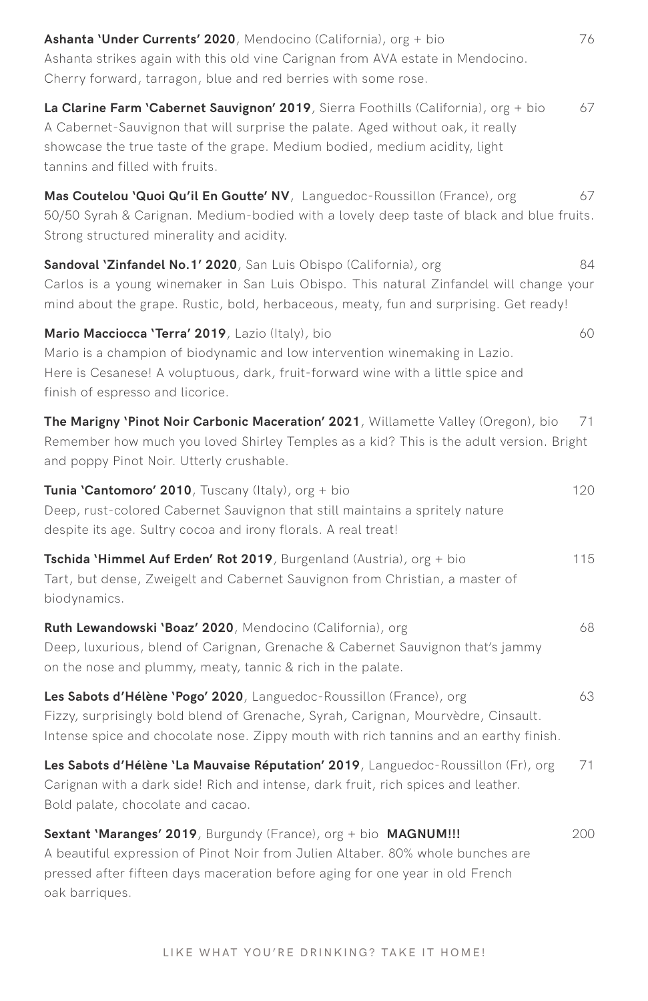| Ashanta 'Under Currents' 2020, Mendocino (California), org + bio<br>76<br>Ashanta strikes again with this old vine Carignan from AVA estate in Mendocino.<br>Cherry forward, tarragon, blue and red berries with some rose.                                                                   |  |
|-----------------------------------------------------------------------------------------------------------------------------------------------------------------------------------------------------------------------------------------------------------------------------------------------|--|
| La Clarine Farm 'Cabernet Sauvignon' 2019, Sierra Foothills (California), org + bio<br>67<br>A Cabernet-Sauvignon that will surprise the palate. Aged without oak, it really<br>showcase the true taste of the grape. Medium bodied, medium acidity, light<br>tannins and filled with fruits. |  |
| Mas Coutelou 'Quoi Qu'il En Goutte' NV, Languedoc-Roussillon (France), org<br>67<br>50/50 Syrah & Carignan. Medium-bodied with a lovely deep taste of black and blue fruits.<br>Strong structured minerality and acidity.                                                                     |  |
| Sandoval 'Zinfandel No.1' 2020, San Luis Obispo (California), org<br>84<br>Carlos is a young winemaker in San Luis Obispo. This natural Zinfandel will change your<br>mind about the grape. Rustic, bold, herbaceous, meaty, fun and surprising. Get ready!                                   |  |
| Mario Macciocca 'Terra' 2019, Lazio (Italy), bio<br>60<br>Mario is a champion of biodynamic and low intervention winemaking in Lazio.<br>Here is Cesanese! A voluptuous, dark, fruit-forward wine with a little spice and<br>finish of espresso and licorice.                                 |  |
| The Marigny 'Pinot Noir Carbonic Maceration' 2021, Willamette Valley (Oregon), bio<br>71<br>Remember how much you loved Shirley Temples as a kid? This is the adult version. Bright<br>and poppy Pinot Noir. Utterly crushable.                                                               |  |
| Tunia 'Cantomoro' 2010, Tuscany (Italy), org + bio<br>120<br>Deep, rust-colored Cabernet Sauvignon that still maintains a spritely nature<br>despite its age. Sultry cocoa and irony florals. A real treat!                                                                                   |  |
| Tschida 'Himmel Auf Erden' Rot 2019, Burgenland (Austria), org + bio<br>115<br>Tart, but dense, Zweigelt and Cabernet Sauvignon from Christian, a master of<br>biodynamics.                                                                                                                   |  |
| Ruth Lewandowski 'Boaz' 2020, Mendocino (California), org<br>68<br>Deep, luxurious, blend of Carignan, Grenache & Cabernet Sauvignon that's jammy<br>on the nose and plummy, meaty, tannic & rich in the palate.                                                                              |  |
| 63<br>Les Sabots d'Hélène 'Pogo' 2020, Languedoc-Roussillon (France), org<br>Fizzy, surprisingly bold blend of Grenache, Syrah, Carignan, Mourvèdre, Cinsault.<br>Intense spice and chocolate nose. Zippy mouth with rich tannins and an earthy finish.                                       |  |
| Les Sabots d'Hélène 'La Mauvaise Réputation' 2019, Languedoc-Roussillon (Fr), org<br>71.<br>Carignan with a dark side! Rich and intense, dark fruit, rich spices and leather.<br>Bold palate, chocolate and cacao.                                                                            |  |
| Sextant 'Maranges' 2019, Burgundy (France), org + bio MAGNUM!!!<br>200<br>A beautiful expression of Pinot Noir from Julien Altaber. 80% whole bunches are<br>pressed after fifteen days maceration before aging for one year in old French<br>oak barriques.                                  |  |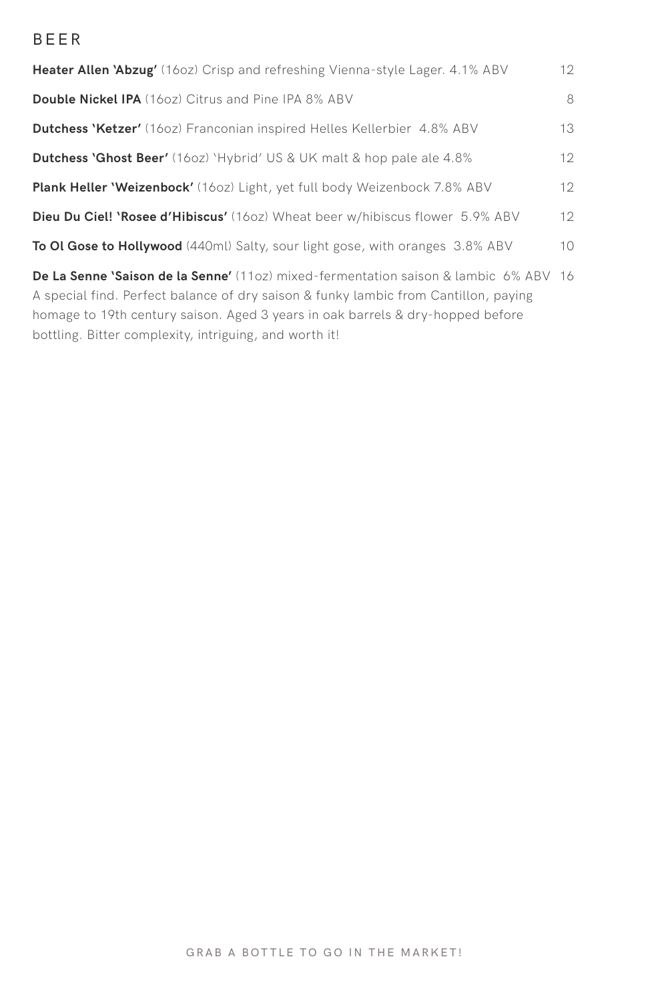#### BEER

| <b>Heater Allen 'Abzug'</b> (160z) Crisp and refreshing Vienna-style Lager. 4.1% ABV        | 12     |
|---------------------------------------------------------------------------------------------|--------|
| <b>Double Nickel IPA</b> (1602) Citrus and Pine IPA 8% ABV                                  | 8      |
| <b>Dutchess 'Ketzer'</b> (160z) Franconian inspired Helles Kellerbier 4.8% ABV              | 13     |
| <b>Dutchess 'Ghost Beer'</b> (160z) 'Hybrid' US & UK malt & hop pale ale 4.8%               | 12     |
| <b>Plank Heller 'Weizenbock'</b> (160z) Light, yet full body Weizenbock 7.8% ABV            | 12     |
| <b>Dieu Du Ciel! 'Rosee d'Hibiscus'</b> (160z) Wheat beer w/hibiscus flower 5.9% ABV        | 12     |
| To Ol Gose to Hollywood (440ml) Salty, sour light gose, with oranges 3.8% ABV               | $10 -$ |
| <b>De La Senne 'Saison de la Senne'</b> (110z) mixed-fermentation saison & lambic 6% ABV 16 |        |

A special find. Perfect balance of dry saison & funky lambic from Cantillon, paying homage to 19th century saison. Aged 3 years in oak barrels & dry-hopped before bottling. Bitter complexity, intriguing, and worth it!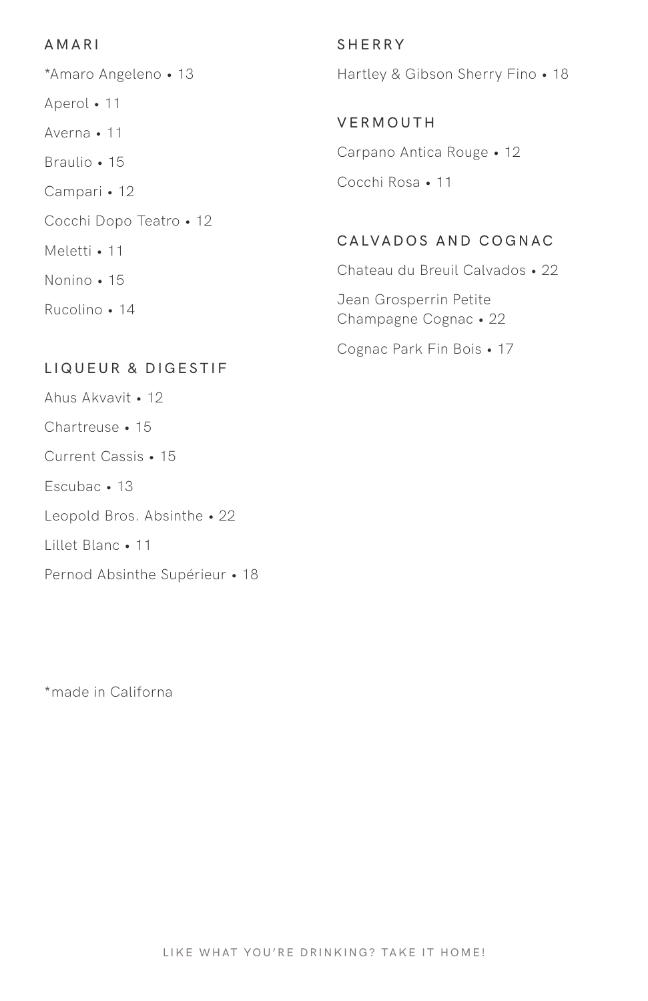#### AMAR I

\*Amaro Angeleno • 13 Aperol • 11 Averna • 11 Braulio • 15 Campari • 12 Cocchi Dopo Teatro • 12 Meletti • 11 Nonino • 15 Rucolino • 14

#### LIQUEUR & DIGESTIF

Ahus Akvavit • 12 Chartreuse • 15 Current Cassis • 15 Escubac • 13 Leopold Bros. Absinthe • 22 Lillet Blanc • 11 Pernod Absinthe Supérieur • 18 SHERRY Hartley & Gibson Sherry Fino • 18

VERMOUTH Carpano Antica Rouge • 12 Cocchi Rosa • 11

#### CALVADOS AND COGNAC

Chateau du Breuil Calvados • 22 Jean Grosperrin Petite Champagne Cognac • 22 Cognac Park Fin Bois • 17

LIKE WHAT YOU'RE DRINKING? TAKE IT HOME!

\*made in Californa